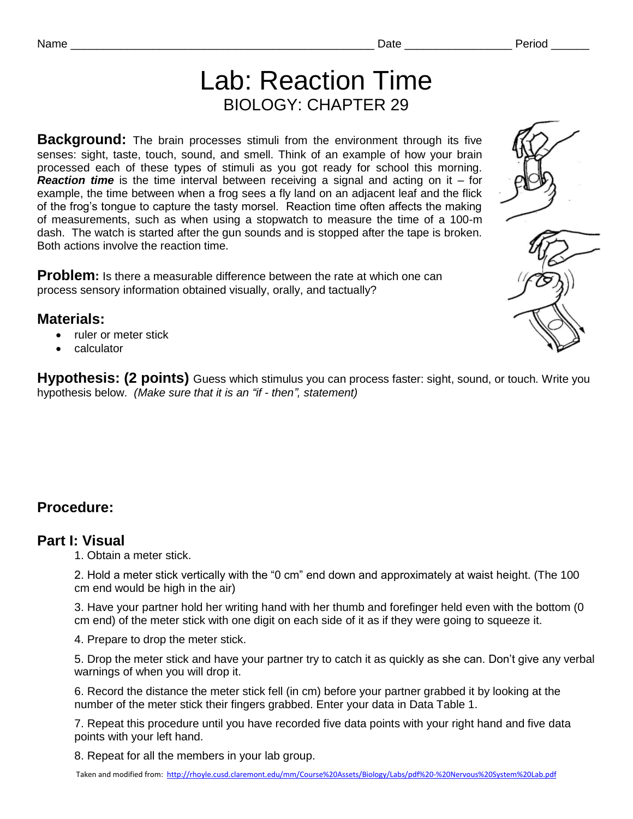Lab: Reaction Time BIOLOGY: CHAPTER 29

**Background:** The brain processes stimuli from the environment through its five senses: sight, taste, touch, sound, and smell. Think of an example of how your brain processed each of these types of stimuli as you got ready for school this morning. *Reaction time* is the time interval between receiving a signal and acting on it – for example, the time between when a frog sees a fly land on an adjacent leaf and the flick of the frog's tongue to capture the tasty morsel. Reaction time often affects the making of measurements, such as when using a stopwatch to measure the time of a 100-m dash. The watch is started after the gun sounds and is stopped after the tape is broken. Both actions involve the reaction time.

**Problem:** Is there a measurable difference between the rate at which one can process sensory information obtained visually, orally, and tactually?

#### **Materials:**

- ruler or meter stick
- calculator

**Hypothesis: (2 points)** Guess which stimulus you can process faster: sight, sound, or touch*.* Write you hypothesis below. *(Make sure that it is an "if - then", statement)*

## **Procedure:**

#### **Part I: Visual**

1. Obtain a meter stick.

2. Hold a meter stick vertically with the "0 cm" end down and approximately at waist height. (The 100 cm end would be high in the air)

3. Have your partner hold her writing hand with her thumb and forefinger held even with the bottom (0 cm end) of the meter stick with one digit on each side of it as if they were going to squeeze it.

4. Prepare to drop the meter stick.

5. Drop the meter stick and have your partner try to catch it as quickly as she can. Don't give any verbal warnings of when you will drop it.

6. Record the distance the meter stick fell (in cm) before your partner grabbed it by looking at the number of the meter stick their fingers grabbed. Enter your data in Data Table 1.

7. Repeat this procedure until you have recorded five data points with your right hand and five data points with your left hand.

8. Repeat for all the members in your lab group.

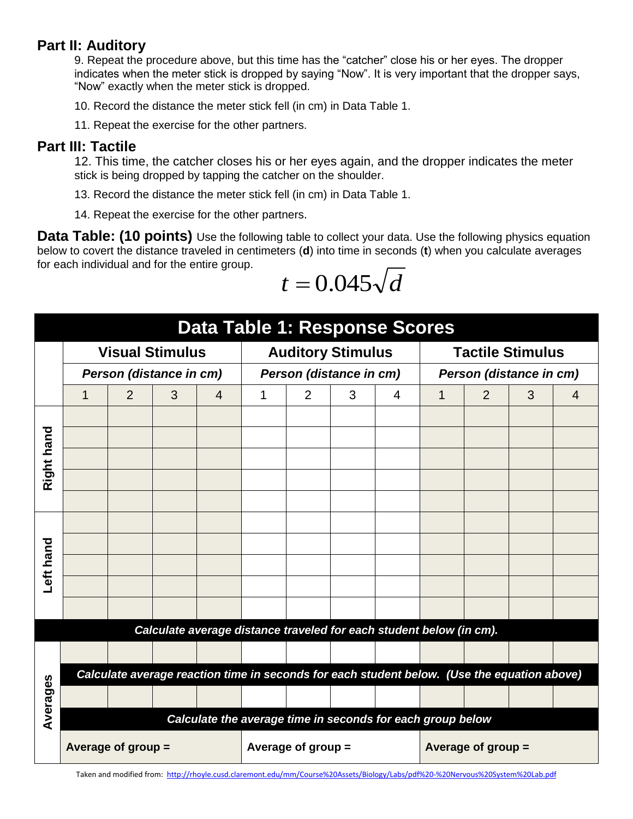### **Part II: Auditory**

9. Repeat the procedure above, but this time has the "catcher" close his or her eyes. The dropper indicates when the meter stick is dropped by saying "Now". It is very important that the dropper says, "Now" exactly when the meter stick is dropped.

10. Record the distance the meter stick fell (in cm) in Data Table 1.

11. Repeat the exercise for the other partners.

### **Part III: Tactile**

12. This time, the catcher closes his or her eyes again, and the dropper indicates the meter stick is being dropped by tapping the catcher on the shoulder.

13. Record the distance the meter stick fell (in cm) in Data Table 1.

14. Repeat the exercise for the other partners.

**Data Table: (10 points)** Use the following table to collect your data. Use the following physics equation below to covert the distance traveled in centimeters (**d**) into time in seconds (**t**) when you calculate averages for each individual and for the entire group.

$$
t = 0.045\sqrt{d}
$$

|            | <b>Data Table 1: Response Scores</b>                       |                         |   |                                                                                             |   |                          |   |   |                                                    |                |   |   |  |  |
|------------|------------------------------------------------------------|-------------------------|---|---------------------------------------------------------------------------------------------|---|--------------------------|---|---|----------------------------------------------------|----------------|---|---|--|--|
|            |                                                            | <b>Visual Stimulus</b>  |   |                                                                                             |   | <b>Auditory Stimulus</b> |   |   | <b>Tactile Stimulus</b><br>Person (distance in cm) |                |   |   |  |  |
|            |                                                            | Person (distance in cm) |   |                                                                                             |   | Person (distance in cm)  |   |   |                                                    |                |   |   |  |  |
|            | 1                                                          | 2                       | 3 | 4                                                                                           | 1 | 2                        | 3 | 4 | 1                                                  | $\overline{2}$ | 3 | 4 |  |  |
| Right hand |                                                            |                         |   |                                                                                             |   |                          |   |   |                                                    |                |   |   |  |  |
|            |                                                            |                         |   |                                                                                             |   |                          |   |   |                                                    |                |   |   |  |  |
|            |                                                            |                         |   |                                                                                             |   |                          |   |   |                                                    |                |   |   |  |  |
|            |                                                            |                         |   |                                                                                             |   |                          |   |   |                                                    |                |   |   |  |  |
|            |                                                            |                         |   |                                                                                             |   |                          |   |   |                                                    |                |   |   |  |  |
| Left hand  |                                                            |                         |   |                                                                                             |   |                          |   |   |                                                    |                |   |   |  |  |
|            |                                                            |                         |   |                                                                                             |   |                          |   |   |                                                    |                |   |   |  |  |
|            |                                                            |                         |   |                                                                                             |   |                          |   |   |                                                    |                |   |   |  |  |
|            |                                                            |                         |   |                                                                                             |   |                          |   |   |                                                    |                |   |   |  |  |
|            |                                                            |                         |   |                                                                                             |   |                          |   |   |                                                    |                |   |   |  |  |
|            |                                                            |                         |   | Calculate average distance traveled for each student below (in cm).                         |   |                          |   |   |                                                    |                |   |   |  |  |
| Averages   |                                                            |                         |   |                                                                                             |   |                          |   |   |                                                    |                |   |   |  |  |
|            |                                                            |                         |   | Calculate average reaction time in seconds for each student below. (Use the equation above) |   |                          |   |   |                                                    |                |   |   |  |  |
|            |                                                            |                         |   |                                                                                             |   |                          |   |   |                                                    |                |   |   |  |  |
|            | Calculate the average time in seconds for each group below |                         |   |                                                                                             |   |                          |   |   |                                                    |                |   |   |  |  |
|            |                                                            | Average of group =      |   |                                                                                             |   | Average of group $=$     |   |   | Average of group $=$                               |                |   |   |  |  |

Taken and modified from: http://rhoyle.cusd.claremont.edu/mm/Course%20Assets/Biology/Labs/pdf%20-%20Nervous%20System%20Lab.pdf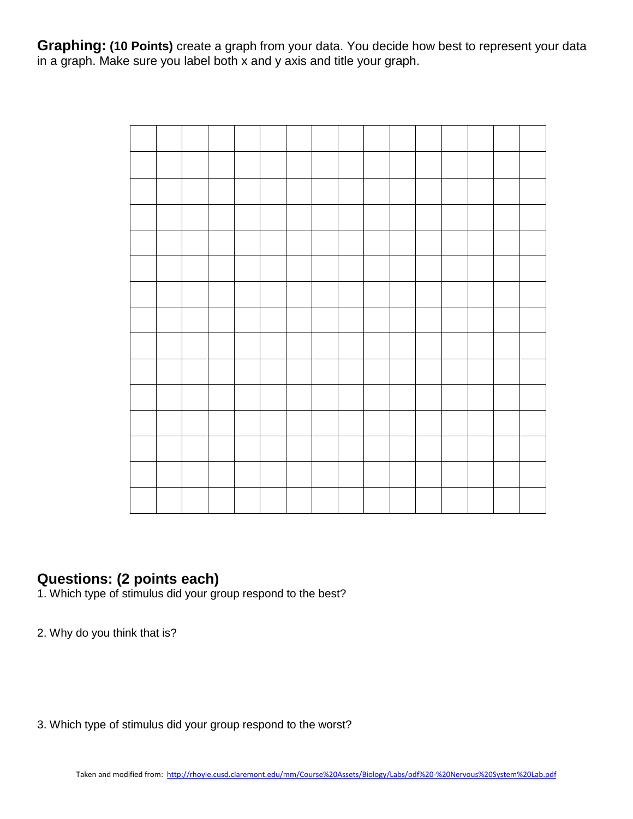**Graphing: (10 Points)** create a graph from your data. You decide how best to represent your data in a graph. Make sure you label both x and y axis and title your graph.

# **Questions: (2 points each)**

1. Which type of stimulus did your group respond to the best?

2. Why do you think that is?

3. Which type of stimulus did your group respond to the worst?